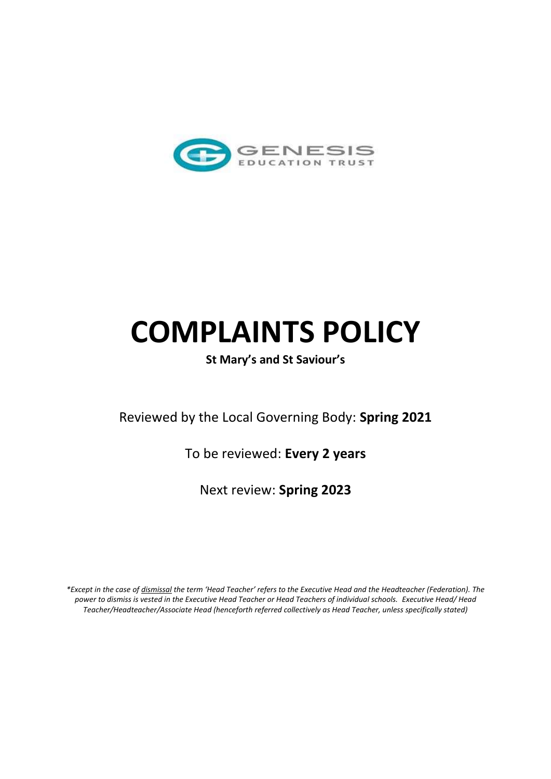

# **COMPLAINTS POLICY**

## **St Mary's and St Saviour's**

Reviewed by the Local Governing Body: **Spring 2021**

To be reviewed: **Every 2 years**

Next review: **Spring 2023**

*\*Except in the case of dismissal the term 'Head Teacher' refers to the Executive Head and the Headteacher (Federation). The power to dismiss is vested in the Executive Head Teacher or Head Teachers of individual schools. Executive Head/ Head Teacher/Headteacher/Associate Head (henceforth referred collectively as Head Teacher, unless specifically stated)*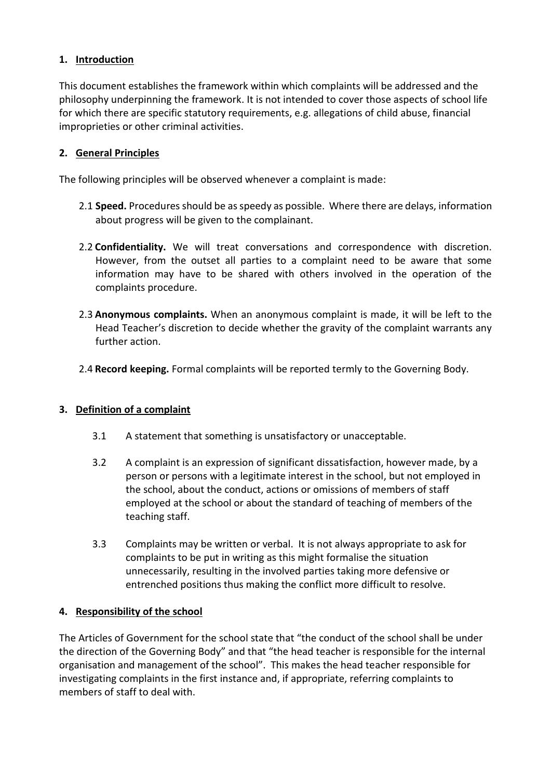## **1. Introduction**

This document establishes the framework within which complaints will be addressed and the philosophy underpinning the framework. It is not intended to cover those aspects of school life for which there are specific statutory requirements, e.g. allegations of child abuse, financial improprieties or other criminal activities.

#### **2. General Principles**

The following principles will be observed whenever a complaint is made:

- 2.1 **Speed.** Procedures should be as speedy as possible. Where there are delays, information about progress will be given to the complainant.
- 2.2 **Confidentiality.** We will treat conversations and correspondence with discretion. However, from the outset all parties to a complaint need to be aware that some information may have to be shared with others involved in the operation of the complaints procedure.
- 2.3 **Anonymous complaints.** When an anonymous complaint is made, it will be left to the Head Teacher's discretion to decide whether the gravity of the complaint warrants any further action.
- 2.4 **Record keeping.** Formal complaints will be reported termly to the Governing Body.

#### **3. Definition of a complaint**

- 3.1 A statement that something is unsatisfactory or unacceptable.
- 3.2 A complaint is an expression of significant dissatisfaction, however made, by a person or persons with a legitimate interest in the school, but not employed in the school, about the conduct, actions or omissions of members of staff employed at the school or about the standard of teaching of members of the teaching staff.
- 3.3 Complaints may be written or verbal. It is not always appropriate to ask for complaints to be put in writing as this might formalise the situation unnecessarily, resulting in the involved parties taking more defensive or entrenched positions thus making the conflict more difficult to resolve.

#### **4. Responsibility of the school**

The Articles of Government for the school state that "the conduct of the school shall be under the direction of the Governing Body" and that "the head teacher is responsible for the internal organisation and management of the school". This makes the head teacher responsible for investigating complaints in the first instance and, if appropriate, referring complaints to members of staff to deal with.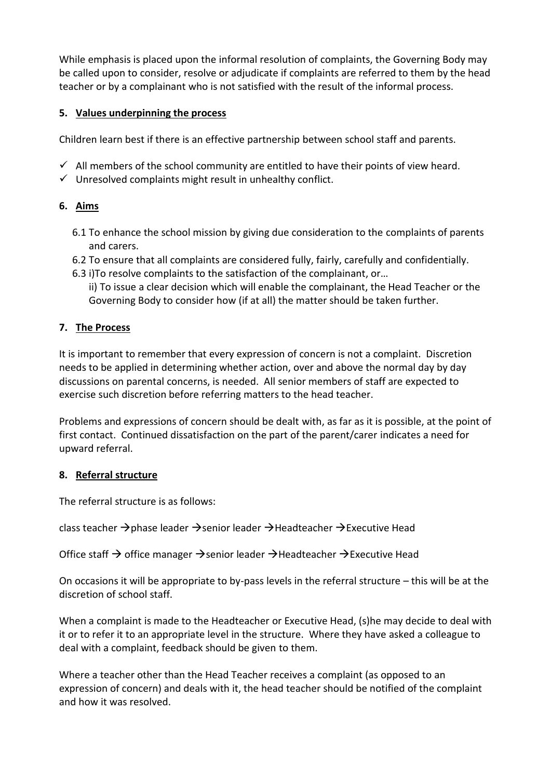While emphasis is placed upon the informal resolution of complaints, the Governing Body may be called upon to consider, resolve or adjudicate if complaints are referred to them by the head teacher or by a complainant who is not satisfied with the result of the informal process.

## **5. Values underpinning the process**

Children learn best if there is an effective partnership between school staff and parents.

- $\checkmark$  All members of the school community are entitled to have their points of view heard.
- $\checkmark$  Unresolved complaints might result in unhealthy conflict.

## **6. Aims**

- 6.1 To enhance the school mission by giving due consideration to the complaints of parents and carers.
- 6.2 To ensure that all complaints are considered fully, fairly, carefully and confidentially.
- 6.3 i)To resolve complaints to the satisfaction of the complainant, or…
	- ii) To issue a clear decision which will enable the complainant, the Head Teacher or the Governing Body to consider how (if at all) the matter should be taken further.

## **7. The Process**

It is important to remember that every expression of concern is not a complaint. Discretion needs to be applied in determining whether action, over and above the normal day by day discussions on parental concerns, is needed. All senior members of staff are expected to exercise such discretion before referring matters to the head teacher.

Problems and expressions of concern should be dealt with, as far as it is possible, at the point of first contact. Continued dissatisfaction on the part of the parent/carer indicates a need for upward referral.

#### **8. Referral structure**

The referral structure is as follows:

class teacher  $\rightarrow$  phase leader  $\rightarrow$  senior leader  $\rightarrow$  Headteacher  $\rightarrow$  Executive Head

Office staff  $\rightarrow$  office manager  $\rightarrow$  senior leader  $\rightarrow$  Headteacher  $\rightarrow$  Executive Head

On occasions it will be appropriate to by-pass levels in the referral structure – this will be at the discretion of school staff.

When a complaint is made to the Headteacher or Executive Head, (s)he may decide to deal with it or to refer it to an appropriate level in the structure. Where they have asked a colleague to deal with a complaint, feedback should be given to them.

Where a teacher other than the Head Teacher receives a complaint (as opposed to an expression of concern) and deals with it, the head teacher should be notified of the complaint and how it was resolved.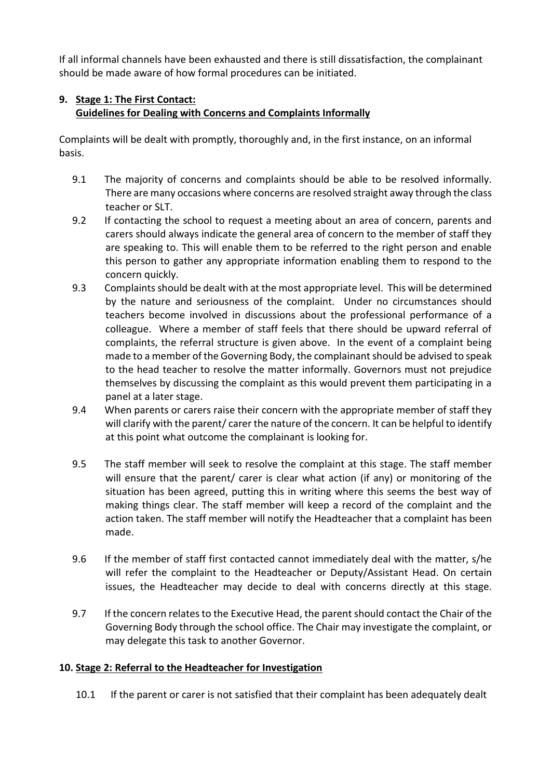If all informal channels have been exhausted and there is still dissatisfaction, the complainant should be made aware of how formal procedures can be initiated.

## **9. Stage 1: The First Contact: Guidelines for Dealing with Concerns and Complaints Informally**

Complaints will be dealt with promptly, thoroughly and, in the first instance, on an informal basis.

- 9.1 The majority of concerns and complaints should be able to be resolved informally. There are many occasions where concerns are resolved straight away through the class teacher or SLT.
- 9.2 If contacting the school to request a meeting about an area of concern, parents and carers should always indicate the general area of concern to the member of staff they are speaking to. This will enable them to be referred to the right person and enable this person to gather any appropriate information enabling them to respond to the concern quickly.
- 9.3 Complaints should be dealt with at the most appropriate level. This will be determined by the nature and seriousness of the complaint. Under no circumstances should teachers become involved in discussions about the professional performance of a colleague. Where a member of staff feels that there should be upward referral of complaints, the referral structure is given above. In the event of a complaint being made to a member of the Governing Body, the complainant should be advised to speak to the head teacher to resolve the matter informally. Governors must not prejudice themselves by discussing the complaint as this would prevent them participating in a panel at a later stage.
- 9.4 When parents or carers raise their concern with the appropriate member of staff they will clarify with the parent/ carer the nature of the concern. It can be helpful to identify at this point what outcome the complainant is looking for.
- 9.5 The staff member will seek to resolve the complaint at this stage. The staff member will ensure that the parent/ carer is clear what action (if any) or monitoring of the situation has been agreed, putting this in writing where this seems the best way of making things clear. The staff member will keep a record of the complaint and the action taken. The staff member will notify the Headteacher that a complaint has been made.
- 9.6 If the member of staff first contacted cannot immediately deal with the matter, s/he will refer the complaint to the Headteacher or Deputy/Assistant Head. On certain issues, the Headteacher may decide to deal with concerns directly at this stage.
- 9.7 If the concern relates to the Executive Head, the parent should contact the Chair of the Governing Body through the school office. The Chair may investigate the complaint, or may delegate this task to another Governor.

## **10. Stage 2: Referral to the Headteacher for Investigation**

10.1 If the parent or carer is not satisfied that their complaint has been adequately dealt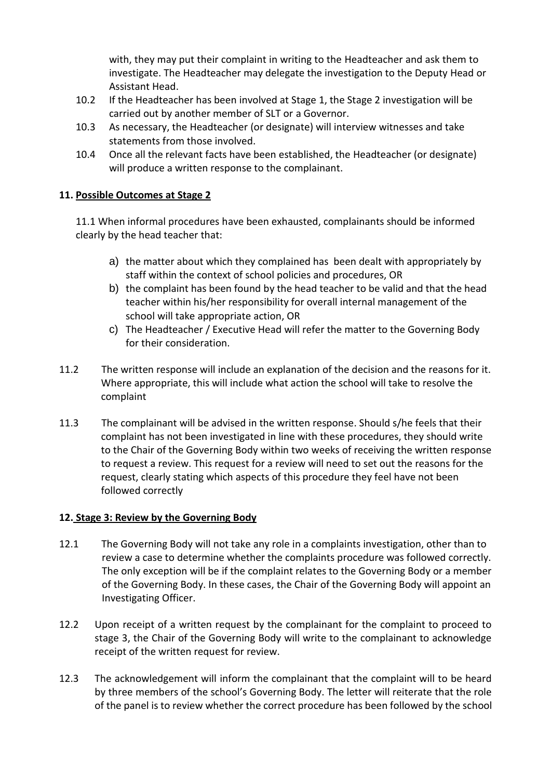with, they may put their complaint in writing to the Headteacher and ask them to investigate. The Headteacher may delegate the investigation to the Deputy Head or Assistant Head.

- 10.2 If the Headteacher has been involved at Stage 1, the Stage 2 investigation will be carried out by another member of SLT or a Governor.
- 10.3 As necessary, the Headteacher (or designate) will interview witnesses and take statements from those involved.
- 10.4 Once all the relevant facts have been established, the Headteacher (or designate) will produce a written response to the complainant.

#### **11. Possible Outcomes at Stage 2**

11.1 When informal procedures have been exhausted, complainants should be informed clearly by the head teacher that:

- a) the matter about which they complained has been dealt with appropriately by staff within the context of school policies and procedures, OR
- b) the complaint has been found by the head teacher to be valid and that the head teacher within his/her responsibility for overall internal management of the school will take appropriate action, OR
- c) The Headteacher / Executive Head will refer the matter to the Governing Body for their consideration.
- 11.2 The written response will include an explanation of the decision and the reasons for it. Where appropriate, this will include what action the school will take to resolve the complaint
- 11.3 The complainant will be advised in the written response. Should s/he feels that their complaint has not been investigated in line with these procedures, they should write to the Chair of the Governing Body within two weeks of receiving the written response to request a review. This request for a review will need to set out the reasons for the request, clearly stating which aspects of this procedure they feel have not been followed correctly

#### **12. Stage 3: Review by the Governing Body**

- 12.1 The Governing Body will not take any role in a complaints investigation, other than to review a case to determine whether the complaints procedure was followed correctly. The only exception will be if the complaint relates to the Governing Body or a member of the Governing Body. In these cases, the Chair of the Governing Body will appoint an Investigating Officer.
- 12.2 Upon receipt of a written request by the complainant for the complaint to proceed to stage 3, the Chair of the Governing Body will write to the complainant to acknowledge receipt of the written request for review.
- 12.3 The acknowledgement will inform the complainant that the complaint will to be heard by three members of the school's Governing Body. The letter will reiterate that the role of the panel is to review whether the correct procedure has been followed by the school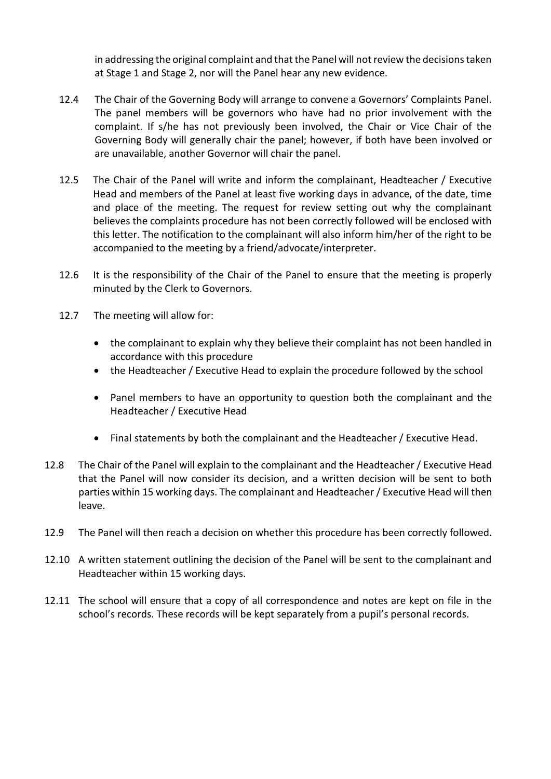in addressing the original complaint and that the Panel will not review the decisions taken at Stage 1 and Stage 2, nor will the Panel hear any new evidence.

- 12.4 The Chair of the Governing Body will arrange to convene a Governors' Complaints Panel. The panel members will be governors who have had no prior involvement with the complaint. If s/he has not previously been involved, the Chair or Vice Chair of the Governing Body will generally chair the panel; however, if both have been involved or are unavailable, another Governor will chair the panel.
- 12.5 The Chair of the Panel will write and inform the complainant, Headteacher / Executive Head and members of the Panel at least five working days in advance, of the date, time and place of the meeting. The request for review setting out why the complainant believes the complaints procedure has not been correctly followed will be enclosed with this letter. The notification to the complainant will also inform him/her of the right to be accompanied to the meeting by a friend/advocate/interpreter.
- 12.6 It is the responsibility of the Chair of the Panel to ensure that the meeting is properly minuted by the Clerk to Governors.
- 12.7 The meeting will allow for:
	- the complainant to explain why they believe their complaint has not been handled in accordance with this procedure
	- the Headteacher / Executive Head to explain the procedure followed by the school
	- Panel members to have an opportunity to question both the complainant and the Headteacher / Executive Head
	- Final statements by both the complainant and the Headteacher / Executive Head.
- 12.8 The Chair of the Panel will explain to the complainant and the Headteacher / Executive Head that the Panel will now consider its decision, and a written decision will be sent to both parties within 15 working days. The complainant and Headteacher / Executive Head will then leave.
- 12.9 The Panel will then reach a decision on whether this procedure has been correctly followed.
- 12.10 A written statement outlining the decision of the Panel will be sent to the complainant and Headteacher within 15 working days.
- 12.11 The school will ensure that a copy of all correspondence and notes are kept on file in the school's records. These records will be kept separately from a pupil's personal records.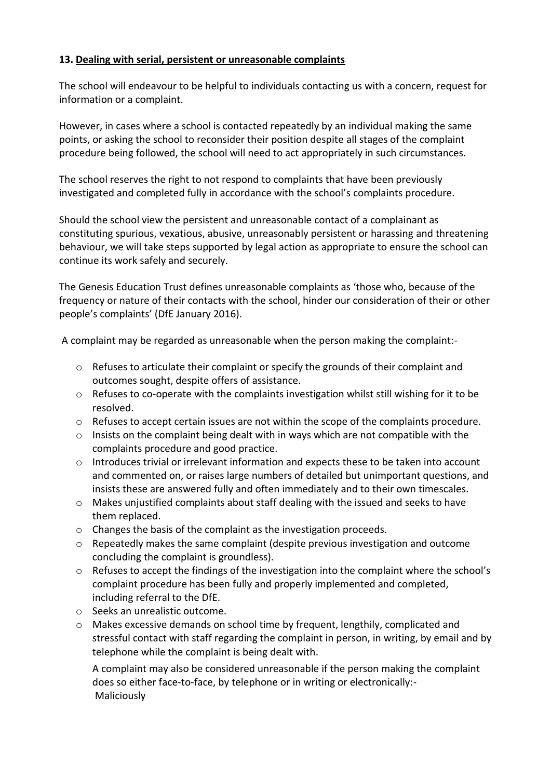#### **13. Dealing with serial, persistent or unreasonable complaints**

The school will endeavour to be helpful to individuals contacting us with a concern, request for information or a complaint.

However, in cases where a school is contacted repeatedly by an individual making the same points, or asking the school to reconsider their position despite all stages of the complaint procedure being followed, the school will need to act appropriately in such circumstances.

The school reserves the right to not respond to complaints that have been previously investigated and completed fully in accordance with the school's complaints procedure.

Should the school view the persistent and unreasonable contact of a complainant as constituting spurious, vexatious, abusive, unreasonably persistent or harassing and threatening behaviour, we will take steps supported by legal action as appropriate to ensure the school can continue its work safely and securely.

The Genesis Education Trust defines unreasonable complaints as 'those who, because of the frequency or nature of their contacts with the school, hinder our consideration of their or other people's complaints' (DfE January 2016).

A complaint may be regarded as unreasonable when the person making the complaint:-

- $\circ$  Refuses to articulate their complaint or specify the grounds of their complaint and outcomes sought, despite offers of assistance.
- $\circ$  Refuses to co-operate with the complaints investigation whilst still wishing for it to be resolved.
- o Refuses to accept certain issues are not within the scope of the complaints procedure.
- o Insists on the complaint being dealt with in ways which are not compatible with the complaints procedure and good practice.
- o Introduces trivial or irrelevant information and expects these to be taken into account and commented on, or raises large numbers of detailed but unimportant questions, and insists these are answered fully and often immediately and to their own timescales.
- $\circ$  Makes unjustified complaints about staff dealing with the issued and seeks to have them replaced.
- o Changes the basis of the complaint as the investigation proceeds.
- o Repeatedly makes the same complaint (despite previous investigation and outcome concluding the complaint is groundless).
- $\circ$  Refuses to accept the findings of the investigation into the complaint where the school's complaint procedure has been fully and properly implemented and completed, including referral to the DfE.
- o Seeks an unrealistic outcome.
- o Makes excessive demands on school time by frequent, lengthily, complicated and stressful contact with staff regarding the complaint in person, in writing, by email and by telephone while the complaint is being dealt with.

A complaint may also be considered unreasonable if the person making the complaint does so either face-to-face, by telephone or in writing or electronically:- Maliciously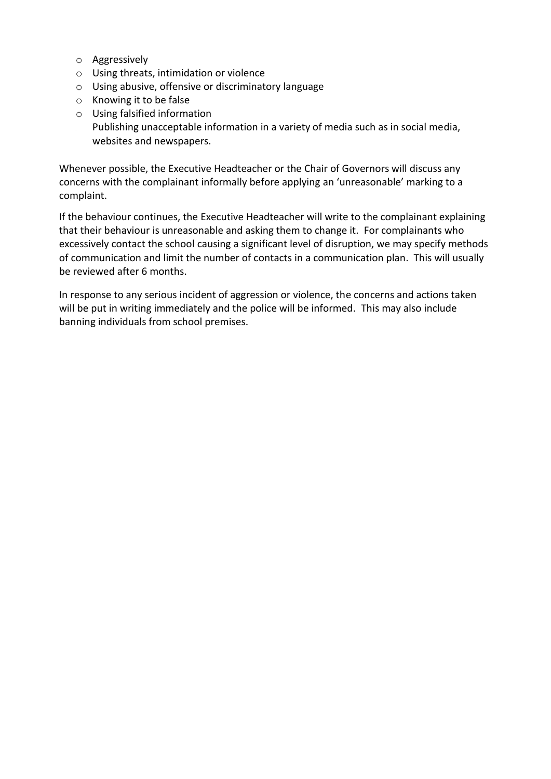- o Aggressively
- o Using threats, intimidation or violence
- o Using abusive, offensive or discriminatory language
- o Knowing it to be false
- o Using falsified information Publishing unacceptable information in a variety of media such as in social media, websites and newspapers.

Whenever possible, the Executive Headteacher or the Chair of Governors will discuss any concerns with the complainant informally before applying an 'unreasonable' marking to a complaint.

If the behaviour continues, the Executive Headteacher will write to the complainant explaining that their behaviour is unreasonable and asking them to change it. For complainants who excessively contact the school causing a significant level of disruption, we may specify methods of communication and limit the number of contacts in a communication plan. This will usually be reviewed after 6 months.

In response to any serious incident of aggression or violence, the concerns and actions taken will be put in writing immediately and the police will be informed. This may also include banning individuals from school premises.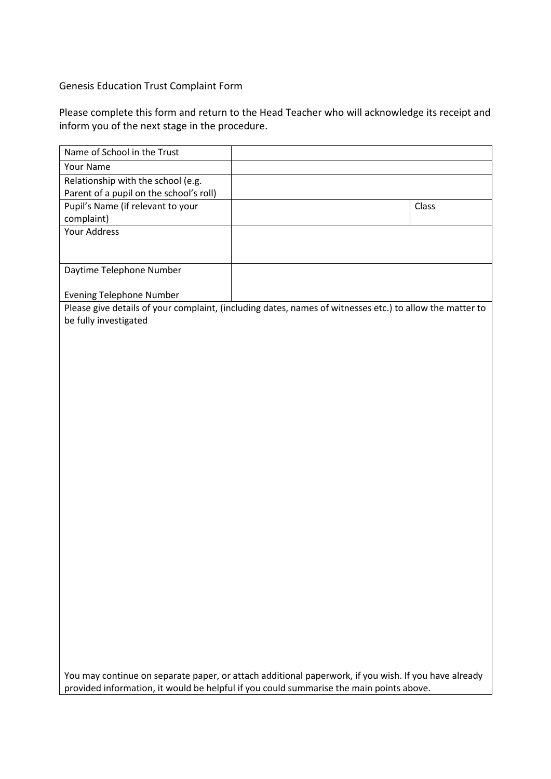Genesis Education Trust Complaint Form

Please complete this form and return to the Head Teacher who will acknowledge its receipt and inform you of the next stage in the procedure.

| Name of School in the Trust                                                                                                                                                                     |                                                                                                          |       |  |
|-------------------------------------------------------------------------------------------------------------------------------------------------------------------------------------------------|----------------------------------------------------------------------------------------------------------|-------|--|
| Your Name                                                                                                                                                                                       |                                                                                                          |       |  |
| Relationship with the school (e.g.                                                                                                                                                              |                                                                                                          |       |  |
| Parent of a pupil on the school's roll)                                                                                                                                                         |                                                                                                          |       |  |
| Pupil's Name (if relevant to your                                                                                                                                                               |                                                                                                          | Class |  |
| complaint)                                                                                                                                                                                      |                                                                                                          |       |  |
| <b>Your Address</b>                                                                                                                                                                             |                                                                                                          |       |  |
|                                                                                                                                                                                                 |                                                                                                          |       |  |
| Daytime Telephone Number                                                                                                                                                                        |                                                                                                          |       |  |
| <b>Evening Telephone Number</b>                                                                                                                                                                 |                                                                                                          |       |  |
|                                                                                                                                                                                                 | Please give details of your complaint, (including dates, names of witnesses etc.) to allow the matter to |       |  |
| be fully investigated                                                                                                                                                                           |                                                                                                          |       |  |
|                                                                                                                                                                                                 |                                                                                                          |       |  |
|                                                                                                                                                                                                 |                                                                                                          |       |  |
|                                                                                                                                                                                                 |                                                                                                          |       |  |
|                                                                                                                                                                                                 |                                                                                                          |       |  |
|                                                                                                                                                                                                 |                                                                                                          |       |  |
|                                                                                                                                                                                                 |                                                                                                          |       |  |
|                                                                                                                                                                                                 |                                                                                                          |       |  |
|                                                                                                                                                                                                 |                                                                                                          |       |  |
|                                                                                                                                                                                                 |                                                                                                          |       |  |
|                                                                                                                                                                                                 |                                                                                                          |       |  |
|                                                                                                                                                                                                 |                                                                                                          |       |  |
|                                                                                                                                                                                                 |                                                                                                          |       |  |
|                                                                                                                                                                                                 |                                                                                                          |       |  |
|                                                                                                                                                                                                 |                                                                                                          |       |  |
|                                                                                                                                                                                                 |                                                                                                          |       |  |
|                                                                                                                                                                                                 |                                                                                                          |       |  |
|                                                                                                                                                                                                 |                                                                                                          |       |  |
|                                                                                                                                                                                                 |                                                                                                          |       |  |
|                                                                                                                                                                                                 |                                                                                                          |       |  |
|                                                                                                                                                                                                 |                                                                                                          |       |  |
|                                                                                                                                                                                                 |                                                                                                          |       |  |
|                                                                                                                                                                                                 |                                                                                                          |       |  |
|                                                                                                                                                                                                 |                                                                                                          |       |  |
|                                                                                                                                                                                                 |                                                                                                          |       |  |
|                                                                                                                                                                                                 |                                                                                                          |       |  |
|                                                                                                                                                                                                 |                                                                                                          |       |  |
| You may continue on separate paper, or attach additional paperwork, if you wish. If you have already<br>provided information, it would be helpful if you could summarise the main points above. |                                                                                                          |       |  |